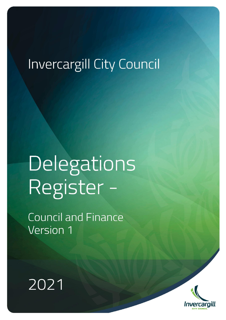# **Invercargill City Council**

Delegations Register-

**Council and Finance** Version 1

# 2021

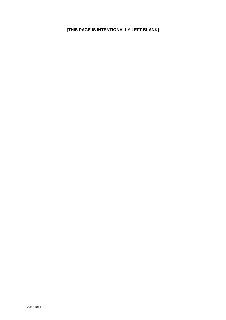# **[THIS PAGE IS INTENTIONALLY LEFT BLANK]**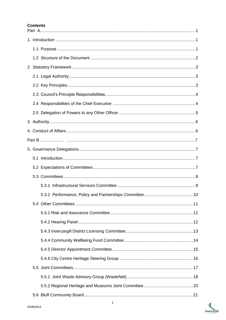# **Contents**

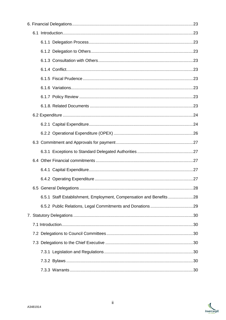|  | 6.5.1 Staff Establishment, Employment, Compensation and Benefits 28 |  |
|--|---------------------------------------------------------------------|--|
|  |                                                                     |  |
|  |                                                                     |  |
|  |                                                                     |  |
|  |                                                                     |  |
|  |                                                                     |  |
|  |                                                                     |  |
|  |                                                                     |  |
|  |                                                                     |  |

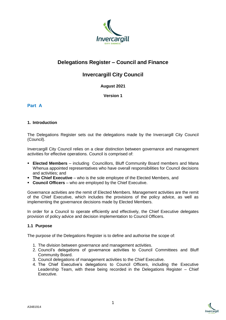

# **Delegations Register – Council and Finance**

# **Invercargill City Council**

# **August 2021**

**Version 1**

## <span id="page-4-0"></span>**Part A**

## <span id="page-4-1"></span>**1. Introduction**

The Delegations Register sets out the delegations made by the Invercargill City Council (Council).

Invercargill City Council relies on a clear distinction between governance and management activities for effective operations. Council is comprised of:

- **Elected Members**  including Councillors, Bluff Community Board members and Mana Whenua appointed representatives who have overall responsibilities for Council decisions and activities; and
- **The Chief Executive**  who is the sole employee of the Elected Members, and
- **Council Officers**  who are employed by the Chief Executive.

Governance activities are the remit of Elected Members. Management activities are the remit of the Chief Executive, which includes the provisions of the policy advice, as well as implementing the governance decisions made by Elected Members.

In order for a Council to operate efficiently and effectively, the Chief Executive delegates provision of policy advice and decision implementation to Council Officers.

### <span id="page-4-2"></span>**1.1 Purpose**

The purpose of the Delegations Register is to define and authorise the scope of:

- 1. The division between governance and management activities.
- 2. Council's delegations of governance activities to Council Committees and Bluff Community Board.
- 3. Council delegations of management activities to the Chief Executive.
- 4. The Chief Executive's delegations to Council Officers, including the Executive Leadership Team, with these being recorded in the Delegations Register – Chief Executive.

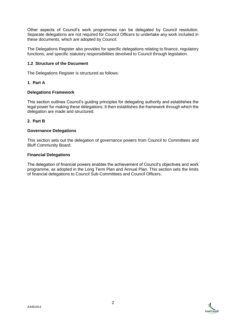Other aspects of Council's work programmes can be delegated by Council resolution. Separate delegations are not required for Council Officers to undertake any work included in these documents, which are adopted by Council.

The Delegations Register also provides for specific delegations relating to finance, regulatory functions, and specific statutory responsibilities devolved to Council through legislation.

## <span id="page-5-0"></span>**1.2 Structure of the Document**

The Delegations Register is structured as follows:

### **1. Part A**

### **Delegations Framework**

This section outlines Council's guiding principles for delegating authority and establishes the legal power for making these delegations. It then establishes the framework through which the delegation are made and structured.

### **2. Part B**

#### **Governance Delegations**

This section sets out the delegation of governance powers from Council to Committees and Bluff Community Board.

#### **Financial Delegations**

The delegation of financial powers enables the achievement of Council's objectives and work programme, as adopted in the Long Term Plan and Annual Plan. This section sets the limits of financial delegations to Council Sub-Committees and Council Officers.

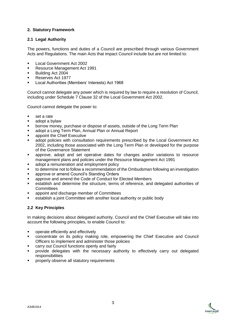# <span id="page-6-0"></span>**2. Statutory Framework**

# <span id="page-6-1"></span>**2.1 Legal Authority**

The powers, functions and duties of a Council are prescribed through various Government Acts and Regulations. The main Acts that impact Council include but are not limited to:

- Local Government Act 2002
- Resource Management Act 1991
- **Building Act 2004**
- Reserves Act 1977
- Local Authorities (Members' Interests) Act 1968

Council cannot delegate any power which is required by law to require a resolution of Council, including under Schedule 7 Clause 32 of the Local Government Act 2002.

Council cannot delegate the power to:

- set a rate
- **adopt a bylaw**
- borrow money, purchase or dispose of assets, outside of the Long Term Plan
- adopt a Long Term Plan, Annual Plan or Annual Report
- appoint the Chief Executive
- adopt policies with consultation requirements prescribed by the Local Government Act 2002, including those associated with the Long Term Plan or developed for the purpose of the Governance Statement
- approve, adopt and set operative dates for changes and/or variations to resource management plans and policies under the Resource Management Act 1991
- adopt a remuneration and employment policy
- to determine not to follow a recommendation of the Ombudsman following an investigation
- **EXECUTE:** approve or amend Council's Standing Orders
- approve and amend the Code of Conduct for Elected Members
- establish and determine the structure, terms of reference, and delegated authorities of **Committees**
- appoint and discharge member of Committees
- establish a joint Committee with another local authority or public body

### <span id="page-6-2"></span>**2.2 Key Principles**

In making decisions about delegated authority, Council and the Chief Executive will take into account the following principles, to enable Council to:

- operate efficiently and effectively
- concentrate on its policy making role, empowering the Chief Executive and Council Officers to implement and administer those policies
- carry out Council functions openly and fairly
- provide delegates with the necessary authority to effectively carry out delegated responsibilities
- properly observe all statutory requirements

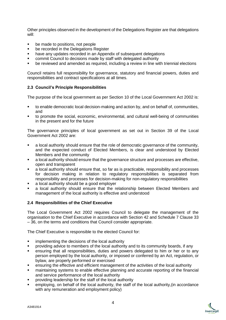Other principles observed in the development of the Delegations Register are that delegations will:

- be made to positions, not people
- **•** be recorded in the Delegations Register
- **•** have any updates recorded in an Appendix of subsequent delegations
- commit Council to decisions made by staff with delegated authority
- be reviewed and amended as required, including a review in line with triennial elections

Council retains full responsibility for governance, statutory and financial powers, duties and responsibilities and contract specifications at all times.

### <span id="page-7-0"></span>**2.3 Council's Principle Responsibilities**

The purpose of the local government as per Section 10 of the Local Government Act 2002 is:

- to enable democratic local decision-making and action by, and on behalf of, communities, and
- to promote the social, economic, environmental, and cultural well-being of communities in the present and for the future

The governance principles of local government as set out in Section 39 of the Local Government Act 2002 are:

- a local authority should ensure that the role of democratic governance of the community, and the expected conduct of Elected Members, is clear and understood by Elected Members and the community
- a local authority should ensure that the governance structure and processes are effective, open and transparent
- a local authority should ensure that, so far as is practicable, responsibility and processes for decision making in relation to regulatory responsibilities is separated from responsibility and processes for decision-making for non-regulatory responsibilities
- a local authority should be a good employer
- a local authority should ensure that the relationship between Elected Members and management of the local authority is effective and understood

### <span id="page-7-1"></span>**2.4 Responsibilities of the Chief Executive**

The Local Government Act 2002 requires Council to delegate the management of the organisation to the Chief Executive in accordance with Section 42 and Schedule 7 Clause 33 – 36, on the terms and conditions that Council consider appropriate.

The Chief Executive is responsible to the elected Council for:

- implementing the decisions of the local authority
- providing advice to members of the local authority and to its community boards, if any
- ensuring that all responsibilities, duties and powers delegated to him or her or to any person employed by the local authority, or imposed or conferred by an Act, regulation, or bylaw, are properly performed or exercised
- ensuring the effective and efficient management of the activities of the local authority
- maintaining systems to enable effective planning and accurate reporting of the financial and service performance of the local authority
- providing leadership for the staff of the local authority
- employing, on behalf of the local authority, the staff of the local authority,(in accordance with any remuneration and employment policy)

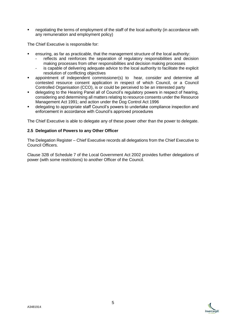negotiating the terms of employment of the staff of the local authority (in accordance with any remuneration and employment policy)

The Chief Executive is responsible for:

- ensuring, as far as practicable, that the management structure of the local authority:
	- reflects and reinforces the separation of regulatory responsibilities and decision making processes from other responsibilities and decision making processes
	- is capable of delivering adequate advice to the local authority to facilitate the explicit resolution of conflicting objectives
- appointment of independent commissioner(s) to hear, consider and determine all contested resource consent application in respect of which Council, or a Council Controlled Organisation (CCO), is or could be perceived to be an interested party
- delegating to the Hearing Panel all of Council's regulatory powers in respect of hearing, considering and determining all matters relating to resource consents under the Resource Management Act 1991; and action under the Dog Control Act 1996
- delegating to appropriate staff Council's powers to undertake compliance inspection and enforcement in accordance with Council's approved procedures

The Chief Executive is able to delegate any of these power other than the power to delegate.

### <span id="page-8-0"></span>**2.5 Delegation of Powers to any Other Officer**

The Delegation Register – Chief Executive records all delegations from the Chief Executive to Council Officers.

Clause 32B of Schedule 7 of the Local Government Act 2002 provides further delegations of power (with some restrictions) to another Officer of the Council.

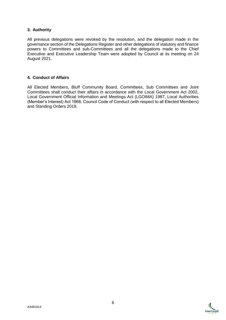# <span id="page-9-0"></span>**3. Authority**

All previous delegations were revoked by the resolution, and the delegation made in the governance section of the Delegations Register and other delegations of statutory and finance powers to Committees and sub-Committees and all the delegations made to the Chief Executive and Executive Leadership Team were adopted by Council at its meeting on 24 August 2021.

# <span id="page-9-1"></span>**4. Conduct of Affairs**

All Elected Members, Bluff Community Board, Committees, Sub Committees and Joint Committees shall conduct their affairs in accordance with the Local Government Act 2002, Local Government Official Information and Meetings Act (LGOIMA) 1987, Local Authorities (Member's Interest) Act 1968, Council Code of Conduct (with respect to all Elected Members) and Standing Orders 2019.



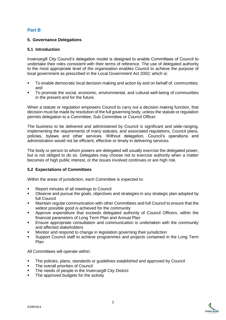# <span id="page-10-0"></span>**Part B**

# <span id="page-10-1"></span>**5. Governance Delegations**

# <span id="page-10-2"></span>**5.1 Introduction**

Invercargill City Council's delegation model is designed to enable Committees of Council to undertake their roles consistent with their terms of reference. The use of delegated authority to the most appropriate level of the organisation enables Council to achieve the purpose of local government as prescribed in the Local Government Act 2002; which is:

- To enable democratic local decision-making and action by and on behalf of, communities; and
- To promote the social, economic, environmental, and cultural well-being of communities in the present and for the future.

When a statute or regulation empowers Council to carry out a decision making function, that decision must be made by resolution of the full governing body, unless the statute or regulation permits delegation to a Committee, Sub Committee or Council Officer.

The business to be delivered and administered by Council is significant and wide-ranging, implementing the requirements of many statutes, and associated regulations, Council plans, policies, bylaws and other services. Without delegation, Council's operations and administration would not be efficient, effective or timely in delivering services.

The body or person to whom powers are delegated will usually exercise the delegated power, but is not obliged to do so. Delegates may choose not to exercise authority when a matter becomes of high public interest, or the issues involved continues or are high risk.

# <span id="page-10-3"></span>**5.2 Expectations of Committees**

Within the areas of jurisdiction, each Committee is expected to:

- Report minutes of all meetings to Council
- Observe and pursue the goals, objectives and strategies in any strategic plan adopted by full Council
- Maintain regular communication with other Committees and full Council to ensure that the widest possible good is achieved for the community
- Approve expenditure that exceeds delegated authority of Council Officers, within the financial parameters of Long Term Plan and Annual Plan
- Ensure appropriate consultation and communication is undertaken with the community and affected stakeholders
- **•** Monitor and respond to change in legislation governing their jurisdiction
- Support Council staff to achieve programmes and projects contained in the Long Term Plan

All Committees will operate within:

- The policies, plans, standards or guidelines established and approved by Council
- The overall priorities of Council
- The needs of people in the Invercargill City District
- The approved budgets for the activity



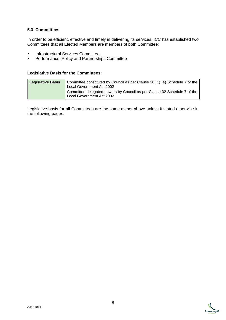# <span id="page-11-0"></span>**5.3 Committees**

In order to be efficient, effective and timely in delivering its services, ICC has established two Committees that all Elected Members are members of both Committee:

- **Infrastructural Services Committee**
- **•** Performance, Policy and Partnerships Committee

# **Legislative Basis for the Committees:**

| <b>Legislative Basis</b> | Committee constituted by Council as per Clause 30 (1) (a) Schedule 7 of the<br>Local Government Act 2002 |
|--------------------------|----------------------------------------------------------------------------------------------------------|
|                          | Committee delegated powers by Council as per Clause 32 Schedule 7 of the<br>Local Government Act 2002    |

Legislative basis for all Committees are the same as set above unless it stated otherwise in the following pages.

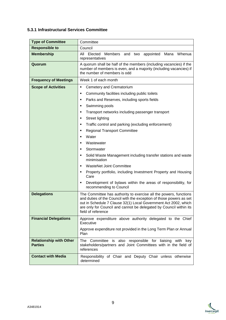# <span id="page-12-0"></span>**5.3.1 Infrastructural Services Committee**

| <b>Type of Committee</b>                         | Committee                                                                                                                                                                                                                                                                                               |
|--------------------------------------------------|---------------------------------------------------------------------------------------------------------------------------------------------------------------------------------------------------------------------------------------------------------------------------------------------------------|
| <b>Responsible to</b>                            | Council                                                                                                                                                                                                                                                                                                 |
| <b>Membership</b>                                | All<br>Elected<br>Members and two<br>appointed Mana Whenua<br>representatives                                                                                                                                                                                                                           |
| Quorum                                           | A quorum shall be half of the members (including vacancies) if the<br>number of members is even, and a majority (including vacancies) if<br>the number of members is odd                                                                                                                                |
| <b>Frequency of Meetings</b>                     | Week 1 of each month                                                                                                                                                                                                                                                                                    |
| <b>Scope of Activities</b>                       | Cemetery and Crematorium<br>П                                                                                                                                                                                                                                                                           |
|                                                  | Community facilities including public toilets<br>$\blacksquare$                                                                                                                                                                                                                                         |
|                                                  | Parks and Reserves, including sports fields<br>٠                                                                                                                                                                                                                                                        |
|                                                  | Swimming pools<br>٠                                                                                                                                                                                                                                                                                     |
|                                                  | Transport networks including passenger transport<br>٠                                                                                                                                                                                                                                                   |
|                                                  | Street lighting<br>П                                                                                                                                                                                                                                                                                    |
|                                                  | Traffic control and parking (excluding enforcement)<br>Е                                                                                                                                                                                                                                                |
|                                                  | <b>Regional Transport Committee</b><br>п                                                                                                                                                                                                                                                                |
|                                                  | Water<br>$\blacksquare$                                                                                                                                                                                                                                                                                 |
|                                                  | Wastewater<br>$\blacksquare$                                                                                                                                                                                                                                                                            |
|                                                  | Stormwater<br>п                                                                                                                                                                                                                                                                                         |
|                                                  | Solid Waste Management including transfer stations and waste<br>٠<br>minimisation                                                                                                                                                                                                                       |
|                                                  | <b>WasteNet Joint Committee</b><br>٠                                                                                                                                                                                                                                                                    |
|                                                  | Property portfolio, including Investment Property and Housing<br>٠<br>Care                                                                                                                                                                                                                              |
|                                                  | Development of bylaws within the areas of responsibility, for<br>П<br>recommending to Council                                                                                                                                                                                                           |
| <b>Delegations</b>                               | The Committee has authority to exercise all the powers, functions<br>and duties of the Council with the exception of those powers as set<br>out in Schedule 7 Clause 32(1) Local Government Act 2002, which<br>are only for Council and cannot be delegated by Council within its<br>field of reference |
| <b>Financial Delegations</b>                     | Approve expenditure above authority delegated to the Chief<br>Executive                                                                                                                                                                                                                                 |
|                                                  | Approve expenditure not provided in the Long Term Plan or Annual<br>Plan                                                                                                                                                                                                                                |
| <b>Relationship with Other</b><br><b>Parties</b> | The Committee is also responsible for liaising with key<br>stakeholders/partners and Joint Committees with in the field of<br>references                                                                                                                                                                |
| <b>Contact with Media</b>                        | Responsibility of Chair and Deputy Chair unless otherwise<br>determined                                                                                                                                                                                                                                 |

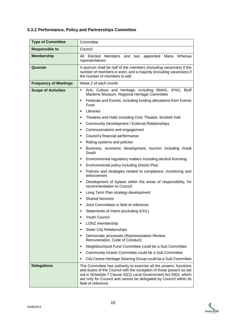# <span id="page-13-0"></span>**5.3.2 Performance, Policy and Partnerships Committee**

| <b>Type of Committee</b>     | Committee                                                                                                                                                                                                                                                                                               |
|------------------------------|---------------------------------------------------------------------------------------------------------------------------------------------------------------------------------------------------------------------------------------------------------------------------------------------------------|
| <b>Responsible to</b>        | Council                                                                                                                                                                                                                                                                                                 |
| <b>Membership</b>            | All<br>Elected<br>Members and two<br>appointed Mana Whenua<br>representatives                                                                                                                                                                                                                           |
| Quorum                       | A quorum shall be half of the members (including vacancies) if the<br>number of members is even, and a majority (including vacancies) if<br>the number of members is odd                                                                                                                                |
| <b>Frequency of Meetings</b> | Week 2 of each month                                                                                                                                                                                                                                                                                    |
| <b>Scope of Activities</b>   | Arts, Culture and Heritage, including SMAG, IPAG, Bluff<br>$\blacksquare$<br>Maritime Museum, Regional Heritage Committee                                                                                                                                                                               |
|                              | Festivals and Events, including funding allocations from Events<br>٠<br>Fund                                                                                                                                                                                                                            |
|                              | Libraries<br>п                                                                                                                                                                                                                                                                                          |
|                              | Theatres and Halls including Civic Theatre, Scottish Hall<br>٠                                                                                                                                                                                                                                          |
|                              | Community Development / External Relationships<br>٠                                                                                                                                                                                                                                                     |
|                              | Communications and engagement<br>٠                                                                                                                                                                                                                                                                      |
|                              | Council's financial performance<br>٠                                                                                                                                                                                                                                                                    |
|                              | Rating systems and policies<br>٠                                                                                                                                                                                                                                                                        |
|                              | Business, economic development, tourism including Great<br>٠<br>South                                                                                                                                                                                                                                   |
|                              | Environmental regulatory matters including alcohol licensing<br>п                                                                                                                                                                                                                                       |
|                              | Environmental policy including District Plan<br>٠                                                                                                                                                                                                                                                       |
|                              | Policies and strategies related to compliance, monitoring and<br>٠<br>enforcement                                                                                                                                                                                                                       |
|                              | Development of bylaws within the areas of responsibility, for<br>п<br>recommendation to Council                                                                                                                                                                                                         |
|                              | Long Term Plan strategy development<br>٠                                                                                                                                                                                                                                                                |
|                              | <b>Shared Services</b><br>$\blacksquare$                                                                                                                                                                                                                                                                |
|                              | Joint Committees in field of reference<br>п                                                                                                                                                                                                                                                             |
|                              | Statements of Intent (excluding ICHL)<br>٠                                                                                                                                                                                                                                                              |
|                              | <b>Youth Council</b><br>٠                                                                                                                                                                                                                                                                               |
|                              | LGNZ membership<br>п                                                                                                                                                                                                                                                                                    |
|                              | <b>Sister City Relationships</b><br>٠                                                                                                                                                                                                                                                                   |
|                              | Democratic processes (Representation Review,<br>٠<br>Remuneration, Code of Conduct)                                                                                                                                                                                                                     |
|                              | Neighbourhood Fund Committee could be a Sub Committee<br>٠                                                                                                                                                                                                                                              |
|                              | Community Grants Committee could be a Sub Committee<br>٠                                                                                                                                                                                                                                                |
|                              | City Centre Heritage Steering Group could be a Sub Committee<br>٠                                                                                                                                                                                                                                       |
| <b>Delegations</b>           | The Committee has authority to exercise all the powers, functions<br>and duties of the Council with the exception of those powers as set<br>out in Schedule 7 Clause 32(1) Local Government Act 2002, which<br>are only for Council and cannot be delegated by Council within its<br>field of reference |

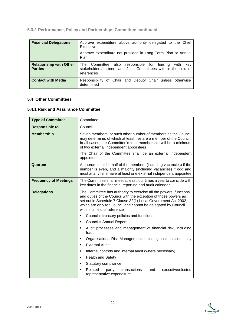# **5.3.2 Performance, Policy and Partnerships Committee continued**

| <b>Financial Delegations</b>                     | Approve expenditure above authority delegated to the Chief<br>Executive                                                                  |
|--------------------------------------------------|------------------------------------------------------------------------------------------------------------------------------------------|
|                                                  | Approve expenditure not provided in Long Term Plan or Annual<br>Plan                                                                     |
| <b>Relationship with Other</b><br><b>Parties</b> | also responsible for liaising with key<br>The Committee<br>stakeholders/partners and Joint Committees with in the field of<br>references |
| <b>Contact with Media</b>                        | Responsibility of Chair and Deputy Chair unless otherwise<br>determined                                                                  |

# <span id="page-14-0"></span>**5.4 Other Committees**

# <span id="page-14-1"></span>**5.4.1 Risk and Assurance Committee**

| <b>Type of Committee</b>     | Committee                                                                                                                                                                                                                                                                                               |
|------------------------------|---------------------------------------------------------------------------------------------------------------------------------------------------------------------------------------------------------------------------------------------------------------------------------------------------------|
| <b>Responsible to</b>        | Council                                                                                                                                                                                                                                                                                                 |
| <b>Membership</b>            | Seven members, or such other number of members as the Council<br>may determine, of which at least five are a member of the Council.<br>In all cases, the Committee's total membership will be a minimum<br>of two external independent appointees                                                       |
|                              | The Chair of the Committee shall be an external independent<br>appointee                                                                                                                                                                                                                                |
| Quorum                       | A quorum shall be half of the members (including vacancies) if the<br>number is even, and a majority (including vacancies) if odd and<br>must at any time have at least one external independent appointee                                                                                              |
| <b>Frequency of Meetings</b> | The Committee shall meet at least four times a year to coincide with<br>key dates in the financial reporting and audit calendar                                                                                                                                                                         |
| <b>Delegations</b>           | The Committee has authority to exercise all the powers, functions<br>and duties of the Council with the exception of those powers as<br>set out in Schedule 7 Clause 32(1) Local Government Act 2002,<br>which are only for Council and cannot be delegated by Council<br>within its field of reference |
|                              | Council's treasury policies and functions                                                                                                                                                                                                                                                               |
|                              | <b>Council's Annual Report</b><br>$\blacksquare$                                                                                                                                                                                                                                                        |
|                              | Audit processes and management of financial risk, including<br>п<br>fraud                                                                                                                                                                                                                               |
|                              | Organisational Risk Management, including business continuity<br>$\blacksquare$                                                                                                                                                                                                                         |
|                              | <b>External Audit</b><br>$\blacksquare$                                                                                                                                                                                                                                                                 |
|                              | Internal controls and internal audit (where necessary)<br>$\blacksquare$                                                                                                                                                                                                                                |
|                              | <b>Health and Safety</b><br>$\blacksquare$                                                                                                                                                                                                                                                              |
|                              | Statutory compliance<br>п                                                                                                                                                                                                                                                                               |
|                              | Related<br>executive/elected<br>party<br>transactions<br>and<br>representative expenditure                                                                                                                                                                                                              |

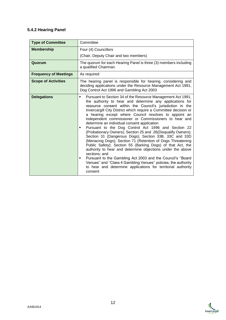# <span id="page-15-0"></span>**5.4.2 Hearing Panel**

| <b>Type of Committee</b>     | Committee                                                                                                                                                                                                                                                                                                                                                                                                                                                                                                                                                                                                                                                                                                                                                                                                                                                                                                                                                                                                                                |
|------------------------------|------------------------------------------------------------------------------------------------------------------------------------------------------------------------------------------------------------------------------------------------------------------------------------------------------------------------------------------------------------------------------------------------------------------------------------------------------------------------------------------------------------------------------------------------------------------------------------------------------------------------------------------------------------------------------------------------------------------------------------------------------------------------------------------------------------------------------------------------------------------------------------------------------------------------------------------------------------------------------------------------------------------------------------------|
| <b>Membership</b>            | Four (4) Councillors                                                                                                                                                                                                                                                                                                                                                                                                                                                                                                                                                                                                                                                                                                                                                                                                                                                                                                                                                                                                                     |
|                              | (Chair, Deputy Chair and two members)                                                                                                                                                                                                                                                                                                                                                                                                                                                                                                                                                                                                                                                                                                                                                                                                                                                                                                                                                                                                    |
| Quorum                       | The quorum for each Hearing Panel is three (3) members including<br>a qualified Chairman.                                                                                                                                                                                                                                                                                                                                                                                                                                                                                                                                                                                                                                                                                                                                                                                                                                                                                                                                                |
| <b>Frequency of Meetings</b> | As required                                                                                                                                                                                                                                                                                                                                                                                                                                                                                                                                                                                                                                                                                                                                                                                                                                                                                                                                                                                                                              |
| <b>Scope of Activities</b>   | The hearing panel is responsible for hearing, considering and<br>deciding applications under the Resource Management Act 1991,<br>Dog Control Act 1996 and Gambling Act 2003                                                                                                                                                                                                                                                                                                                                                                                                                                                                                                                                                                                                                                                                                                                                                                                                                                                             |
| <b>Delegations</b>           | Pursuant to Section 34 of the Resource Management Act 1991,<br>the authority to hear and determine any applications for<br>resource consent within the Council's jurisdiction in the<br>Invercargill City District which require a Committee decision or<br>a hearing except where Council resolves to appoint an<br>independent commissioner or Commissioners to hear and<br>determine an individual consent application<br>Pursuant to the Dog Control Act 1996 and Section 22<br>٠<br>(Probationary Owners); Section 25 and 26(Disqualify Owners);<br>Section 31 (Dangerous Dogs); Section 33B, 33C and 33D<br>(Menacing Dogs); Section 71 (Retention of Dogs Threatening<br>Public Safety); Section 55 (Barking Dogs) of that Act, the<br>authority to hear and determine objections under the above<br>sections; and<br>Pursuant to the Gambling Act 2003 and the Council's "Board<br>٠<br>Venues" and "Class 4 Gambling Venues" policies, the authority<br>to hear and determine applications for territorial authority<br>consent |

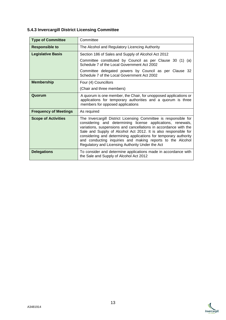# <span id="page-16-0"></span>**5.4.3 Invercargill District Licensing Committee**

| <b>Type of Committee</b>     | Committee                                                                                                                                                                                                                                                                                                                                                                                                                                                    |
|------------------------------|--------------------------------------------------------------------------------------------------------------------------------------------------------------------------------------------------------------------------------------------------------------------------------------------------------------------------------------------------------------------------------------------------------------------------------------------------------------|
| <b>Responsible to</b>        | The Alcohol and Regulatory Licencing Authority                                                                                                                                                                                                                                                                                                                                                                                                               |
| <b>Legislative Basis</b>     | Section 186 of Sales and Supply of Alcohol Act 2012                                                                                                                                                                                                                                                                                                                                                                                                          |
|                              | Committee constituted by Council as per Clause 30 (1) (a)<br>Schedule 7 of the Local Government Act 2002                                                                                                                                                                                                                                                                                                                                                     |
|                              | Committee delegated powers by Council as per Clause 32<br>Schedule 7 of the Local Government Act 2002                                                                                                                                                                                                                                                                                                                                                        |
| <b>Membership</b>            | Four (4) Councillors                                                                                                                                                                                                                                                                                                                                                                                                                                         |
|                              | (Chair and three members)                                                                                                                                                                                                                                                                                                                                                                                                                                    |
| Quorum                       | A quorum is one member, the Chair, for unopposed applications or<br>applications for temporary authorities and a quorum is three<br>members for opposed applications                                                                                                                                                                                                                                                                                         |
| <b>Frequency of Meetings</b> | As required                                                                                                                                                                                                                                                                                                                                                                                                                                                  |
| <b>Scope of Activities</b>   | The Invercargill District Licensing Committee is responsible for<br>considering and determining license applications, renewals,<br>variations, suspensions and cancellations in accordance with the<br>Sale and Supply of Alcohol Act 2012. It is also responsible for<br>considering and determining applications for temporary authority<br>and conducting inquiries and making reports to the Alcohol<br>Regulatory and Licensing Authority Under the Act |
| <b>Delegations</b>           | To consider and determine applications made in accordance with<br>the Sale and Supply of Alcohol Act 2012                                                                                                                                                                                                                                                                                                                                                    |

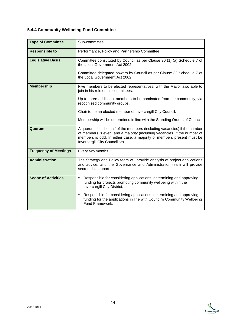# <span id="page-17-0"></span>**5.4.4 Community Wellbeing Fund Committee**

| <b>Type of Committee</b>     | Sub-committee                                                                                                                                                                                                                                                     |
|------------------------------|-------------------------------------------------------------------------------------------------------------------------------------------------------------------------------------------------------------------------------------------------------------------|
| <b>Responsible to</b>        | Performance, Policy and Partnership Committee                                                                                                                                                                                                                     |
| <b>Legislative Basis</b>     | Committee constituted by Council as per Clause 30 (1) (a) Schedule 7 of<br>the Local Government Act 2002                                                                                                                                                          |
|                              | Committee delegated powers by Council as per Clause 32 Schedule 7 of<br>the Local Government Act 2002                                                                                                                                                             |
| <b>Membership</b>            | Five members to be elected representatives, with the Mayor also able to<br>join in his role on all committees.                                                                                                                                                    |
|                              | Up to three additional members to be nominated from the community, via<br>recognised community groups.                                                                                                                                                            |
|                              | Chair to be an elected member of Invercargill City Council.                                                                                                                                                                                                       |
|                              | Membership will be determined in line with the Standing Orders of Council.                                                                                                                                                                                        |
| Quorum                       | A quorum shall be half of the members (including vacancies) if the number<br>of members is even, and a majority (including vacancies) if the number of<br>members is odd. In either case, a majority of members present must be<br>Invercargill City Councillors. |
| <b>Frequency of Meetings</b> | Every two months                                                                                                                                                                                                                                                  |
| <b>Administration</b>        | The Strategy and Policy team will provide analysis of project applications<br>and advice, and the Governance and Administration team will provide<br>secretarial support.                                                                                         |
| <b>Scope of Activities</b>   | Responsible for considering applications, determining and approving<br>funding for projects promoting community wellbeing within the<br>Invercargill City District.                                                                                               |
|                              | Responsible for considering applications, determining and approving<br>funding for the applications in line with Council's Community Wellbeing<br>Fund Framework.                                                                                                 |

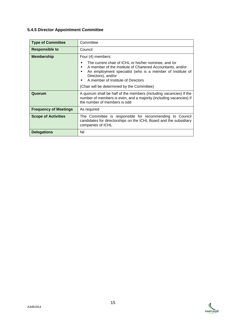# <span id="page-18-0"></span>**5.4.5 Director Appointment Committee**

| <b>Type of Committee</b>     | Committee                                                                                                                                                                                                                                    |
|------------------------------|----------------------------------------------------------------------------------------------------------------------------------------------------------------------------------------------------------------------------------------------|
| <b>Responsible to</b>        | Council                                                                                                                                                                                                                                      |
| <b>Membership</b>            | Four (4) members:                                                                                                                                                                                                                            |
|                              | The current chair of ICHL or his/her nominee, and /or<br>A member of the Institute of Chartered Accountants, and/or<br>An employment specialist (who is a member of Institute of<br>Directors), and/or<br>A member of Institute of Directors |
|                              | (Chair will be determined by the Committee)                                                                                                                                                                                                  |
| Quorum                       | A quorum shall be half of the members (including vacancies) if the<br>number of members is even, and a majority (including vacancies) if<br>the number of members is odd                                                                     |
| <b>Frequency of Meetings</b> | As required                                                                                                                                                                                                                                  |
| <b>Scope of Activities</b>   | The Committee is responsible for recommending to Council<br>candidates for directorships on the ICHL Board and the subsidiary<br>companies of ICHL                                                                                           |
| <b>Delegations</b>           | Nil                                                                                                                                                                                                                                          |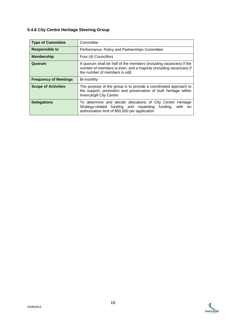# <span id="page-19-0"></span>**5.4.6 City Centre Heritage Steering Group**

| <b>Type of Committee</b>     | Committee                                                                                                                                                                     |
|------------------------------|-------------------------------------------------------------------------------------------------------------------------------------------------------------------------------|
| <b>Responsible to</b>        | Performance, Policy and Partnerships Committee                                                                                                                                |
| <b>Membership</b>            | Four (4) Councillors                                                                                                                                                          |
| Quorum                       | A quorum shall be half of the members (including vacancies) if the<br>number of members is even, and a majority (including vacancies) if<br>the number of members is odd      |
| <b>Frequency of Meetings</b> | Bi-monthly                                                                                                                                                                    |
| <b>Scope of Activities</b>   | The purpose of the group is to provide a coordinated approach to<br>the support, promotion and preservation of built heritage within<br><b>Invercargill City Centre</b>       |
| <b>Delegations</b>           | To determine and decide allocations of City Centre Heritage<br>Strategy-related funding and repainting funding, with<br>an<br>authorisation limit of \$50,000 per application |

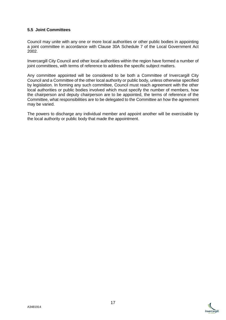# <span id="page-20-0"></span>**5.5 Joint Committees**

Council may unite with any one or more local authorities or other public bodies in appointing a joint committee in accordance with Clause 30A Schedule 7 of the Local Government Act 2002.

Invercargill City Council and other local authorities within the region have formed a number of joint committees, with terms of reference to address the specific subject matters.

Any committee appointed will be considered to be both a Committee of Invercargill City Council and a Committee of the other local authority or public body, unless otherwise specified by legislation. In forming any such committee, Council must reach agreement with the other local authorities or public bodies involved which must specify the number of members, how the chairperson and deputy chairperson are to be appointed, the terms of reference of the Committee, what responsibilities are to be delegated to the Committee an how the agreement may be varied.

The powers to discharge any individual member and appoint another will be exercisable by the local authority or public body that made the appointment.

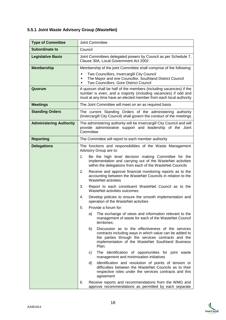# <span id="page-21-0"></span>**5.5.1 Joint Waste Advisory Group (WasteNet)**

| <b>Type of Committee</b>       | Joint Committee                                                                                                                                                                                                                         |  |  |  |  |  |
|--------------------------------|-----------------------------------------------------------------------------------------------------------------------------------------------------------------------------------------------------------------------------------------|--|--|--|--|--|
| <b>Subordinate to</b>          | Council                                                                                                                                                                                                                                 |  |  |  |  |  |
| <b>Legislative Basis</b>       | Joint Committees delegated powers by Council as per Schedule 7,<br>Clause 30A, Local Government Act 2002                                                                                                                                |  |  |  |  |  |
| <b>Membership</b>              | Membership of the joint Committee shall comprise of the following:                                                                                                                                                                      |  |  |  |  |  |
|                                | Two Councillors, Invercargill City Council<br>٠<br>The Mayor and one Councillor, Southland District Council<br>$\blacksquare$<br>Two Councillors, Gore District Council<br>٠                                                            |  |  |  |  |  |
| Quorum                         | A quorum shall be half of the members (including vacancies) if the<br>number is even, and a majority (including vacancies) if odd and<br>must at any time have an elected member from each local authority                              |  |  |  |  |  |
| <b>Meetings</b>                | The Joint Committee will meet on an as required basis                                                                                                                                                                                   |  |  |  |  |  |
| <b>Standing Orders</b>         | The current Standing Orders of the administering authority<br>(Invercargill City Council) shall govern the conduct of the meetings                                                                                                      |  |  |  |  |  |
| <b>Administering Authority</b> | The administering authority will be Invercargill City Council and will<br>provide administrative support and leadership of the Joint<br>Committee                                                                                       |  |  |  |  |  |
| <b>Reporting</b>               | The Committee will report to each member authority                                                                                                                                                                                      |  |  |  |  |  |
| <b>Delegations</b>             | The functions and responsibilities of the Waste Management<br>Advisory Group are to:                                                                                                                                                    |  |  |  |  |  |
|                                | 1.<br>Be the high level decision making Committee for the<br>implementation and carrying out of the WasteNet activities<br>within the delegations from each of the WasteNet Councils                                                    |  |  |  |  |  |
|                                | 2.<br>Receive and approve financial monitoring reports as to the<br>accounting between the WasteNet Councils in relation to the<br><b>WasteNet activities</b>                                                                           |  |  |  |  |  |
|                                | 3.<br>Report to each constituent WasteNet Council as to the<br>WasteNet activities outcomes                                                                                                                                             |  |  |  |  |  |
|                                | Develop policies to ensure the smooth implementation and<br>4.<br>operation of the WasteNet activities                                                                                                                                  |  |  |  |  |  |
|                                | 5.<br>Provide a forum for:                                                                                                                                                                                                              |  |  |  |  |  |
|                                | The exchange of views and information relevant to the<br>a)<br>management of waste for each of the WasteNet Council<br>territories;                                                                                                     |  |  |  |  |  |
|                                | Discussion as to the effectiveness of the services<br>b)<br>contracts including ways in which value can be added to<br>the parties through the services contracts and the<br>implementation of the WasteNet Southland Business<br>Plan; |  |  |  |  |  |
|                                | The identification of opportunities for joint waste<br>c)<br>management and minimisation initiatives                                                                                                                                    |  |  |  |  |  |
|                                | Identification and resolution of points of tension or<br>d)<br>difficulties between the WasteNet Councils as to their<br>respective roles under the services contracts and this<br>agreement                                            |  |  |  |  |  |
|                                | 6.<br>Receive reports and recommendations from the WMG and<br>approve recommendations as permitted by each separate                                                                                                                     |  |  |  |  |  |

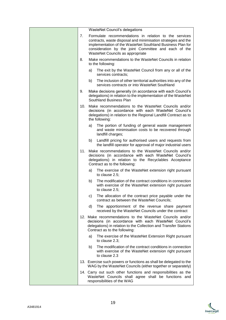|     | <b>WasteNet Council's delegations</b>                                                                                                                                                                                                                                            |
|-----|----------------------------------------------------------------------------------------------------------------------------------------------------------------------------------------------------------------------------------------------------------------------------------|
| 7.  | Formulate recommendations in relation to the services<br>contracts, waste disposal and minimisation strategies and the<br>implementation of the WasteNet Southland Business Plan for<br>consideration by the joint Committee and each of the<br>WasteNet Councils as appropriate |
| 8.  | Make recommendations to the WasteNet Councils in relation<br>to the following:                                                                                                                                                                                                   |
|     | The exit by the WasteNet Council from any or all of the<br>a)<br>services contracts;                                                                                                                                                                                             |
|     | The inclusion of other territorial authorities into any of the<br>b)<br>services contracts or into WasteNet Southland                                                                                                                                                            |
| 9.  | Make decisions generally (in accordance with each Council's<br>delegations) in relation to the implementation of the WasteNet<br>Southland Business Plan                                                                                                                         |
| 10. | Make recommendations to the WasteNet Councils and/or<br>decisions (in accordance with each WasteNet Council's<br>delegations) in relation to the Regional Landfill Contract as to<br>the following:                                                                              |
|     | The portion of funding of general waste management<br>a)<br>and waste minimisation costs to be recovered through<br>landfill charges;                                                                                                                                            |
|     | Landfill pricing for authorised users and requests from<br>b)<br>the landfill operator for approval of major industrial users                                                                                                                                                    |
| 11. | Make recommendations to the WasteNet Councils and/or<br>decisions (in accordance with each WasteNet Council's<br>delegations) in relation to the Recyclables Acceptance<br>Contract as to the following:                                                                         |
|     | The exercise of the WasteNet extension right pursuant<br>a)<br>to clause 2.5;                                                                                                                                                                                                    |
|     | The modification of the contract conditions in connection<br>b)<br>with exercise of the WasteNet extension right pursuant<br>to clause 2.5;                                                                                                                                      |
|     | The allocation of the contract price payable under the<br>C)<br>contract as between the WasteNet Councils;                                                                                                                                                                       |
|     | The apportionment of the revenue share payment<br>d)<br>received by the WasteNet Councils under the contract                                                                                                                                                                     |
|     | 12. Make recommendations to the WasteNet Councils and/or<br>decisions (in accordance with each WasteNet Council's<br>delegations) in relation to the Collection and Transfer Stations<br>Contract as to the following:                                                           |
|     | The exercise of the WasteNet Extension Right pursuant<br>a)<br>to clause 2.3;                                                                                                                                                                                                    |
|     | The modification of the contract conditions in connection<br>b)<br>with exercise of the WasteNet extension right pursuant<br>to clause 2.3                                                                                                                                       |
|     | 13. Exercise such powers or functions as shall be delegated to the<br>WAG by the WasteNet Councils (either together or separately)                                                                                                                                               |
|     | 14. Carry out such other functions and responsibilities as the<br>WasteNet Councils shall agree shall be functions and<br>responsibilities of the WAG                                                                                                                            |

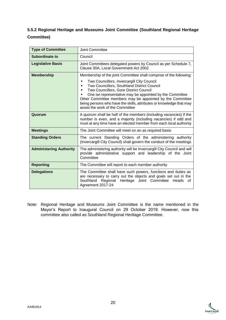# <span id="page-23-0"></span>**5.5.2 Regional Heritage and Museums Joint Committee (Southland Regional Heritage Committee)**

| <b>Type of Committee</b>       | Joint Committee                                                                                                                                                                                                                                                                                                                                                                   |
|--------------------------------|-----------------------------------------------------------------------------------------------------------------------------------------------------------------------------------------------------------------------------------------------------------------------------------------------------------------------------------------------------------------------------------|
| <b>Subordinate to</b>          | Council                                                                                                                                                                                                                                                                                                                                                                           |
| <b>Legislative Basis</b>       | Joint Committees delegated powers by Council as per Schedule 7,<br>Clause 30A, Local Government Act 2002                                                                                                                                                                                                                                                                          |
| <b>Membership</b>              | Membership of the joint Committee shall comprise of the following:                                                                                                                                                                                                                                                                                                                |
|                                | Two Councillors, Invercargill City Council<br>٠<br>Two Councillors, Southland District Council<br>٠<br>Two Councillors, Gore District Council<br>One iwi representative may be appointed by the Committee<br>Other Committee members may be appointed by the Committee<br>being persons who have the skills, attributes or knowledge that may<br>assist the work of the Committee |
| Quorum                         | A quorum shall be half of the members (including vacancies) if the<br>number is even, and a majority (including vacancies) if odd and<br>must at any time have an elected member from each local authority                                                                                                                                                                        |
| <b>Meetings</b>                | The Joint Committee will meet on an as required basis                                                                                                                                                                                                                                                                                                                             |
| <b>Standing Orders</b>         | The current Standing Orders of the administering authority<br>(Invercargill City Council) shall govern the conduct of the meetings                                                                                                                                                                                                                                                |
| <b>Administering Authority</b> | The administering authority will be Invercargill City Council and will<br>provide administrative support and leadership of the Joint<br>Committee                                                                                                                                                                                                                                 |
| <b>Reporting</b>               | The Committee will report to each member authority                                                                                                                                                                                                                                                                                                                                |
| <b>Delegations</b>             | The Committee shall have such powers, functions and duties as<br>are necessary to carry out the objects and goals set out in the<br>Southland Regional Heritage Joint Committee Heads<br>of<br>Agreement 2017-24                                                                                                                                                                  |

Note: Regional Heritage and Museums Joint Committee is the name mentioned in the Mayor's Report to Inaugural Council on 29 October 2019. However, now this committee also called as Southland Regional Heritage Committee.

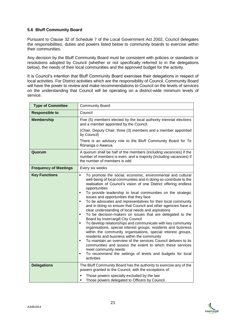# <span id="page-24-0"></span>**5.6 Bluff Community Board**

Pursuant to Clause 32 of Schedule 7 of the Local Government Act 2002, Council delegates the responsibilities, duties and powers listed below to community boards to exercise within their communities.

Any decision by the Bluff Community Board must be consistent with policies or standards or resolutions adopted by Council (whether or not specifically referred to in the delegations below), the needs of their local communities and the approved budget for the activity.

It is Council's intention that Bluff Community Board exercises their delegations in respect of local activities. For District activities which are the responsibility of Council, Community Board will have the power to review and make recommendations to Council on the levels of services on the understanding that Council will be operating on a district-wide minimum levels of service.

| <b>Type of Committee</b>     | <b>Community Board</b>                                                                                                                                                                                                                                                                                                                                                                                                                                                                                                                                                                                                                                                                                                                                                                                                                                                                                                                                                                                                                                                                                                                                   |
|------------------------------|----------------------------------------------------------------------------------------------------------------------------------------------------------------------------------------------------------------------------------------------------------------------------------------------------------------------------------------------------------------------------------------------------------------------------------------------------------------------------------------------------------------------------------------------------------------------------------------------------------------------------------------------------------------------------------------------------------------------------------------------------------------------------------------------------------------------------------------------------------------------------------------------------------------------------------------------------------------------------------------------------------------------------------------------------------------------------------------------------------------------------------------------------------|
| <b>Responsible to</b>        | Council                                                                                                                                                                                                                                                                                                                                                                                                                                                                                                                                                                                                                                                                                                                                                                                                                                                                                                                                                                                                                                                                                                                                                  |
| <b>Membership</b>            | Five (5) members elected by the local authority triennial elections<br>and a member appointed by the Council.                                                                                                                                                                                                                                                                                                                                                                                                                                                                                                                                                                                                                                                                                                                                                                                                                                                                                                                                                                                                                                            |
|                              | (Chair, Deputy Chair, three (3) members and a member appointed<br>by Council)                                                                                                                                                                                                                                                                                                                                                                                                                                                                                                                                                                                                                                                                                                                                                                                                                                                                                                                                                                                                                                                                            |
|                              | There is an advisory role to the Bluff Community Board for Te<br>Rūnanga o Awarua.                                                                                                                                                                                                                                                                                                                                                                                                                                                                                                                                                                                                                                                                                                                                                                                                                                                                                                                                                                                                                                                                       |
| Quorum                       | A quorum shall be half of the members (including vacancies) if the<br>number of members is even, and a majority (including vacancies) if<br>the number of members is odd                                                                                                                                                                                                                                                                                                                                                                                                                                                                                                                                                                                                                                                                                                                                                                                                                                                                                                                                                                                 |
| <b>Frequency of Meetings</b> | Every six weeks                                                                                                                                                                                                                                                                                                                                                                                                                                                                                                                                                                                                                                                                                                                                                                                                                                                                                                                                                                                                                                                                                                                                          |
| <b>Key Functions</b>         | To promote the social, economic, environmental and cultural<br>$\blacksquare$<br>well-being of local communities and in doing so contribute to the<br>realisation of Council's vision of one District offering endless<br>opportunities<br>To provide leadership to local communities on the strategic<br>٠<br>issues and opportunities that they face<br>To be advocates and representatives for their local community<br>٠<br>and in doing so ensure that Council and other agencies have a<br>clear understanding of local needs and aspirations<br>To be decision-makers on issues that are delegated to the<br>٠<br>Board by Invercargill City Council<br>To develop relationships and communicate with key community<br>organisations, special interest groups, residents and business<br>within the community organisations, special interest groups,<br>residents and business within the community<br>To maintain an overview of the services Council delivers to its<br>٠<br>communities and assess the extent to which these services<br>meet community needs<br>To recommend the settings of levels and budgets for local<br>٠<br>activities |
| <b>Delegations</b>           | The Bluff Community Board has the authority to exercise any of the<br>powers granted to the Council, with the exceptions of:<br>Those powers specially excluded by the law<br>Those powers delegated to Officers by Council<br>×,                                                                                                                                                                                                                                                                                                                                                                                                                                                                                                                                                                                                                                                                                                                                                                                                                                                                                                                        |

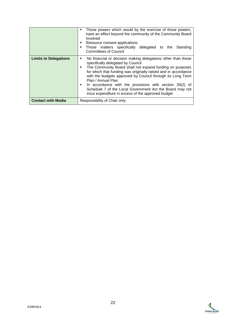|                              | Those powers which would by the exercise of those powers,<br>٠<br>have an effect beyond the community of the Community Board<br>Involved<br>Resource consent applications<br>٠<br>Those matters specifically delegated to the Standing<br>٠<br><b>Committees of Council</b>                                                                                                                                                                                                                                     |  |  |  |  |  |
|------------------------------|-----------------------------------------------------------------------------------------------------------------------------------------------------------------------------------------------------------------------------------------------------------------------------------------------------------------------------------------------------------------------------------------------------------------------------------------------------------------------------------------------------------------|--|--|--|--|--|
| <b>Limits to Delegations</b> | No financial or decision making delegations other than those<br>٠<br>specifically delegated by Council<br>The Community Board shall not expand funding on purposes<br>٠<br>for which that funding was originally raised and in accordance<br>with the budgets approved by Council through its Long Term<br>Plan / Annual Plan<br>In accordance with the provisions with section 39(2) of<br>٠<br>Schedule 7 of the Local Government Act the Board may not<br>incur expenditure in excess of the approved budget |  |  |  |  |  |
| <b>Contact with Media</b>    | Responsibility of Chair only                                                                                                                                                                                                                                                                                                                                                                                                                                                                                    |  |  |  |  |  |

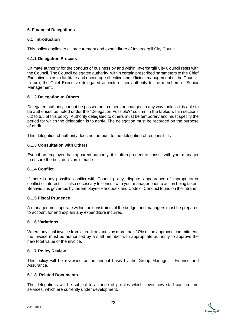# <span id="page-26-0"></span>**6. Financial Delegations**

# <span id="page-26-1"></span>**6.1 Introduction**

This policy applies to all procurement and expenditure of Invercargill City Council.

## <span id="page-26-2"></span>**6.1.1 Delegation Process**

Ultimate authority for the conduct of business by and within Invercargill City Council rests with the Council. The Council delegated authority, within certain prescribed parameters to the Chief Executive so as to facilitate and encourage effective and efficient management of the Council. In turn, the Chief Executive delegated aspects of her authority to the members of Senior Management.

## <span id="page-26-3"></span>**6.1.2 Delegation to Others**

Delegated authority cannot be passed on to others or changed in any way, unless it is able to be authorised as noted under the "Delegation Possible?" column in the tables within sections 6.2 to 6.5 of this policy. Authority delegated to others must be temporary and must specify the period for which the delegation is to apply. The delegation must be recorded on the purpose of audit.

This delegation of authority does not amount to the delegation of responsibility.

## <span id="page-26-4"></span>**6.1.3 Consultation with Others**

Even if an employee has apparent authority, it is often prudent to consult with your manager to ensure the best decision is made.

### <span id="page-26-5"></span>**6.1.4 Conflict**

If there is any possible conflict with Council policy, dispute, appearance of impropriety or conflict of interest, it is also necessary to consult with your manager prior to action being taken. Behaviour is governed by the Employee Handbook and Code of Conduct found on the intranet.

### <span id="page-26-6"></span>**6.1.5 Fiscal Prudence**

A manager must operate within the constraints of the budget and managers must be prepared to account for and explain any expenditure incurred.

### <span id="page-26-7"></span>**6.1.6 Variations**

Where any final invoice from a creditor varies by more than 10% of the approved commitment, the invoice must be authorised by a staff member with appropriate authority to approve the new total value of the invoice.

### <span id="page-26-8"></span>**6.1.7 Policy Review**

This policy will be reviewed on an annual basis by the Group Manager - Finance and Assurance.

## <span id="page-26-9"></span>**6.1.8. Related Documents**

The delegations will be subject to a range of policies which cover how staff can procure services, which are currently under development.



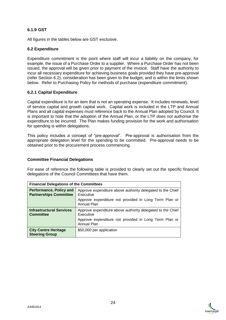# **6.1.9 GST**

All figures in the tables below are GST exclusive.

## <span id="page-27-0"></span>**6.2 Expenditure**

Expenditure commitment is the point where staff will incur a liability on the company, for example, the issue of a Purchase Order to a supplier. Where a Purchase Order has not been issued, the approval will be given prior to payment of the invoice. Staff have the authority to incur all necessary expenditure for achieving business goals provided they have pre-approval (refer Section 6.2), consideration has been given to the budget, and is within the limits shown below. Refer to Purchasing Policy for methods of purchase (expenditure commitment).

## <span id="page-27-1"></span>**6.2.1 Capital Expenditure**

Capital expenditure is for an item that is not an operating expense. It includes renewals, level of service capital and growth capital work. Capital work is included in the LTP and Annual Plans and all capital expenses must reference back to the Annual Plan adopted by Council. It is important to note that the adoption of the Annual Plan, or the LTP does not authorise the expenditure to be incurred. The Plan makes funding provision for the work and authorisation for spending is within delegations.

This policy includes a concept of "pre-approval". Pre-approval is authorisation from the appropriate delegation level for the spending to be committed. Pre-approval needs to be obtained prior to the procurement process commencing.

## **Committee Financial Delegations**

For ease of reference the following table is provided to clearly set out the specific financial delegations of the Council Committees that have them.

| <b>Financial Delegations of the Committees</b>                  |                                                                         |  |  |  |
|-----------------------------------------------------------------|-------------------------------------------------------------------------|--|--|--|
| <b>Performance, Policy and</b><br><b>Partnerships Committee</b> | Approve expenditure above authority delegated to the Chief<br>Executive |  |  |  |
|                                                                 | Approve expenditure not provided in Long Term Plan or<br>Annual Plan    |  |  |  |
| <b>Infrastructural Services</b><br><b>Committee</b>             | Approve expenditure above authority delegated to the Chief<br>Executive |  |  |  |
|                                                                 | Approve expenditure not provided in Long Term Plan or<br>Annual Plan    |  |  |  |
| <b>City Centre Heritage</b><br><b>Steering Group</b>            | \$50,000 per application                                                |  |  |  |

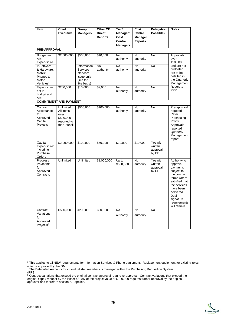| Item                          | Chief             | Group                   | Other CE        | Tier3                  | Cost                   | Delegation        | <b>Notes</b>            |
|-------------------------------|-------------------|-------------------------|-----------------|------------------------|------------------------|-------------------|-------------------------|
|                               | <b>Executive</b>  | <b>Managers</b>         | <b>Direct</b>   | Manager/               | <b>Centre</b>          | Possible?         |                         |
|                               |                   |                         | <b>Reports</b>  | Cost                   | Manager                |                   |                         |
|                               |                   |                         |                 | <b>Centre</b>          | <b>Reports</b>         |                   |                         |
|                               |                   |                         |                 | <b>Managers</b>        |                        |                   |                         |
| <b>PRE-APPROVAL</b>           |                   |                         |                 |                        |                        |                   |                         |
| Budget and                    | \$2,000,000       | \$500,000               | \$10,000        | <b>No</b>              | No                     | <b>No</b>         | Approvals               |
| AMP                           |                   |                         |                 | authority              | authority              |                   | over                    |
| Expenditure                   |                   |                         |                 |                        |                        |                   | \$500,000               |
| It Software<br>& Hardware,    |                   | Information<br>Services | No<br>authority | <b>No</b><br>authority | <b>No</b><br>authority | $\overline{N}$    | and are not<br>budgeted |
| Mobile                        |                   | standard                |                 |                        |                        |                   | are to be               |
| Phones &                      |                   | issue only              |                 |                        |                        |                   | detailed in             |
| Motor                         |                   | (like for               |                 |                        |                        |                   | the Quarterly           |
| Vehicles <sup>1</sup>         |                   | like basis)             |                 |                        |                        |                   | Management              |
| Expenditure<br>not in         | \$200,000         | \$10,000                | \$2,000         | No<br>authority        | No<br>authority        | <b>No</b>         | Report to<br><b>PPP</b> |
| budget and                    |                   |                         |                 |                        |                        |                   |                         |
| AMP                           |                   |                         |                 |                        |                        |                   |                         |
| <b>COMMITMENT AND PAYMENT</b> |                   |                         |                 |                        |                        |                   |                         |
| Contract                      | Unlimited         | \$500,000               | \$100,000       | No                     | No                     | No                | Pre-approval            |
| Acceptance<br>for             | All items         |                         |                 | authority              | authority              |                   | required.<br>Refer      |
| Approved                      | over<br>\$500,000 |                         |                 |                        |                        |                   | Purchasing              |
| Capital                       | reported to       |                         |                 |                        |                        |                   | Policy.                 |
| Projects                      | the Council       |                         |                 |                        |                        |                   | Approvals               |
|                               |                   |                         |                 |                        |                        |                   | reported in             |
|                               |                   |                         |                 |                        |                        |                   | Quarterly<br>Management |
|                               |                   |                         |                 |                        |                        |                   | report                  |
| Capital                       | \$2,000,000       | \$100,000               | \$50,000        | \$20,000               | \$10,000               | Yes with          |                         |
| Expenditure <sup>2</sup>      |                   |                         |                 |                        |                        | written           |                         |
| including<br>Purchase         |                   |                         |                 |                        |                        | approval<br>by CE |                         |
| Orders                        |                   |                         |                 |                        |                        |                   |                         |
| Progress                      | Unlimited         | Unlimited               | \$1,000,000     | Up to                  | No                     | Yes with          | Authority to            |
| Payments                      |                   |                         |                 | \$500,000              | authority              | written           | approve                 |
| for<br>Approved               |                   |                         |                 |                        |                        | approval<br>by CE | payments<br>subject to  |
| Contracts                     |                   |                         |                 |                        |                        |                   | the contract            |
|                               |                   |                         |                 |                        |                        |                   | terms where             |
|                               |                   |                         |                 |                        |                        |                   | satisfied that          |
|                               |                   |                         |                 |                        |                        |                   | the services            |
|                               |                   |                         |                 |                        |                        |                   | have been<br>delivered. |
|                               |                   |                         |                 |                        |                        |                   | Dual                    |
|                               |                   |                         |                 |                        |                        |                   | signature               |
|                               |                   |                         |                 |                        |                        |                   | requirements            |
| Contract                      | \$500,000         | \$200,000               | \$20,000        | No                     | No                     | $\overline{N}$    | will remain             |
| Variations                    |                   |                         |                 |                        |                        |                   |                         |
| for                           |                   |                         |                 | authority              | authority              |                   |                         |
| Approved                      |                   |                         |                 |                        |                        |                   |                         |
| Projects <sup>3</sup>         |                   |                         |                 |                        |                        |                   |                         |

-

<sup>1</sup> This applies to all NEW requirements for Information Services & Phone equipment. Replacement equipment for existing roles

is to be approved by the GM.<br><sup>2</sup> The Delegated Authority for individual staff members is managed within the Purchasing Requisition System

<sup>(</sup>PRS).<br><sup>3</sup> Contract variations that exceed the original contract approval require re-approval. Contract variations that exceed the original capex request by the lesser of 10% of the project value or \$100,000 requires further approval by the original approver and therefore section 6.1 applies.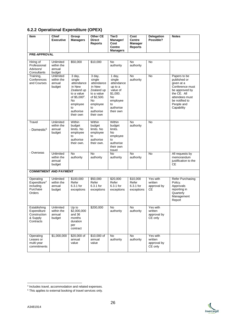<span id="page-29-0"></span>

| 6.2.2 Operational Expenditure (OPEX) |  |  |  |  |
|--------------------------------------|--|--|--|--|
|--------------------------------------|--|--|--|--|

| Item                                                                     | Chief<br><b>Executive</b>                          | Group<br><b>Managers</b>                                                                                                                            | Other CE<br><b>Direct</b><br><b>Reports</b>                                                                                                  | Tier3<br>Manager/<br>Cost<br><b>Centre</b><br><b>Managers</b>                                                        | Cost<br><b>Centre</b><br><b>Manager</b><br><b>Reports</b> | Delegation<br>Possible?                       | <b>Notes</b>                                                                                                                                                   |
|--------------------------------------------------------------------------|----------------------------------------------------|-----------------------------------------------------------------------------------------------------------------------------------------------------|----------------------------------------------------------------------------------------------------------------------------------------------|----------------------------------------------------------------------------------------------------------------------|-----------------------------------------------------------|-----------------------------------------------|----------------------------------------------------------------------------------------------------------------------------------------------------------------|
| <b>PRE-APPROVAL</b>                                                      |                                                    |                                                                                                                                                     |                                                                                                                                              |                                                                                                                      |                                                           |                                               |                                                                                                                                                                |
| Hiring of<br>Professional<br>Advisors/<br>Consultants                    | Unlimited<br>within the<br>annual<br>budget        | \$50,000                                                                                                                                            | \$10,000                                                                                                                                     | <b>No</b><br>authority                                                                                               | <b>No</b><br>authority                                    | <b>No</b>                                     |                                                                                                                                                                |
| Training,<br>Conferences<br>and Courses                                  | <b>Unlimited</b><br>within the<br>annual<br>budget | 3 day,<br>single<br>attendance<br>in New<br>Zealand up<br>to a value<br>of \$5,000 <sup>4</sup> .<br>No<br>employee<br>to<br>authorise<br>their own | 3 day,<br>single<br>attendance<br>in New<br>Zealand up<br>to a value<br>of \$2,500.<br><b>No</b><br>employee<br>to<br>authorise<br>their own | 1 day,<br>single<br>attendance<br>up to a<br>value of<br>\$1,000.<br>No.<br>employee<br>to<br>authorise<br>their own | $\overline{N}$<br>authority                               | <b>No</b>                                     | Papers to be<br>published or<br>given at a<br>Conference must<br>be approved by<br>the CE. All<br>attendees must<br>be notified to<br>People and<br>Capability |
| Travel<br>- Domestic <sup>5</sup>                                        | Unlimited<br>within the<br>annual<br>budget        | Within<br>budget<br>limits. No<br>employee<br>to<br>authorise<br>their own.                                                                         | Within<br>budget<br>limits. No<br>employee<br>to<br>authorise<br>their own.                                                                  | Within<br>budget<br>limits.<br>No<br>employee<br>to<br>authorise<br>their own<br>travel                              | No<br>authority                                           | <b>No</b>                                     |                                                                                                                                                                |
| - Overseas                                                               | Unlimited<br>within the<br>annual<br>budget        | <b>No</b><br>authority                                                                                                                              | <b>No</b><br>authority                                                                                                                       | No<br>authority                                                                                                      | No<br>authority                                           | No                                            | All requests by<br>memorandum<br>justification to the<br><b>CE</b>                                                                                             |
| <b>COMMITMENT AND PAYMENT</b>                                            |                                                    |                                                                                                                                                     |                                                                                                                                              |                                                                                                                      |                                                           |                                               |                                                                                                                                                                |
| Operating<br>Expenditure <sup>4</sup><br>including<br>Purchase<br>Orders | Unlimited<br>within the<br>annual<br>budget        | \$100,000<br>Refer<br>6.3.1 for<br>exceptions                                                                                                       | \$50,000<br>Refer<br>6.3.1 for<br>exceptions                                                                                                 | \$20,000<br>Refer<br>6.3.1 for<br>exceptions                                                                         | \$10,000<br>Refer<br>6.3.1 for<br>exceptions              | Yes with<br>written<br>approval by<br>СE      | Refer Purchasing<br>Policy.<br>Approvals<br>reporting in<br>Quarterly<br>Management<br>Report                                                                  |
| Establishing<br>Expenditure<br>Construction<br>& Supply<br>Contracts     | Unlimited<br>within the<br>annual<br>budget        | Up to<br>\$2,000,000<br>and 36<br>months<br>duration<br>per<br>contract                                                                             | \$200,000                                                                                                                                    | No<br>authority                                                                                                      | No<br>authority                                           | Yes with<br>written<br>approval by<br>CE only |                                                                                                                                                                |
| Operating<br>Leases or<br>multi-year<br>commitments                      | \$1,000,000                                        | \$20,000 of<br>annual<br>value                                                                                                                      | \$10,000 of<br>annual<br>value                                                                                                               | No<br>authority                                                                                                      | No<br>authority                                           | Yes with<br>written<br>approval by<br>CE only |                                                                                                                                                                |

 4 Includes travel, accommodation and related expenses.

<sup>&</sup>lt;sup>5</sup> This applies to external booking of travel services only.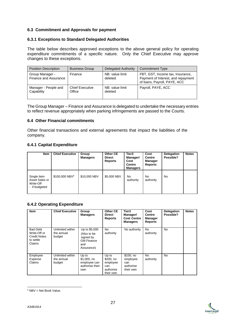# <span id="page-30-0"></span>**6.3 Commitment and Approvals for payment**

# <span id="page-30-1"></span>**6.3.1 Exceptions to Standard Delegated Authorities**

The table below describes approved exceptions to the above general policy for operating expenditure commitments of a specific nature. Only the Chief Executive may approve changes to these exceptions.

| <b>Position Description</b>              | <b>Business Group</b>            | Delegated Authority        | <b>Commitment Type</b>                                                                                 |
|------------------------------------------|----------------------------------|----------------------------|--------------------------------------------------------------------------------------------------------|
| Group Manager -<br>Finance and Assurance | Finance                          | NB: value limit<br>deleted | FBT, GST, Income tax, Insurance,<br>Payment of Interest, and repayment<br>of Ioans, Payroll, PAYE, ACC |
| Manager - People and<br>Capability       | <b>Chief Executive</b><br>Office | NB: value limit<br>deleted | Payroll, PAYE, ACC                                                                                     |

The Group Manager – Finance and Assurance is delegated to undertake the necessary entries to reflect revenue appropriately when parking infringements are passed to the Courts.

### <span id="page-30-2"></span>**6.4 Other Financial commitments**

Other financial transactions and external agreements that impact the liabilities of the company.

## <span id="page-30-3"></span>**6.4.1 Capital Expenditure**

| <b>Item</b>                                                 | <b>Chief Executive</b>     | Group<br><b>Managers</b> | Other CE<br><b>Direct</b><br><b>Reports</b> | Tier <sub>3</sub><br>Manager/<br>Cost<br>Centre<br><b>Managers</b> | Cost<br>Centre<br>Manager<br><b>Reports</b> | <b>Delegation</b><br>Possible? | <b>Notes</b> |
|-------------------------------------------------------------|----------------------------|--------------------------|---------------------------------------------|--------------------------------------------------------------------|---------------------------------------------|--------------------------------|--------------|
| Single Item<br>Asset Sales or<br>Write-Off<br>- if budgeted | \$100,000 NBV <sup>6</sup> | \$10,000 NBV             | \$5,000 NBV                                 | <b>No</b><br>authority                                             | No<br>authority                             | No                             |              |

# <span id="page-30-4"></span>**6.4.2 Operating Expenditure**

| <b>Item</b>                                                            | <b>Chief Executive</b>                   | Group<br><b>Managers</b>                                                            | Other CE<br><b>Direct</b><br><b>Reports</b>                     | Tier3<br>Manager/<br><b>Cost Centre</b><br><b>Managers</b> | Cost<br><b>Centre</b><br>Manager<br><b>Reports</b> | <b>Delegation</b><br>Possible? | <b>Notes</b> |
|------------------------------------------------------------------------|------------------------------------------|-------------------------------------------------------------------------------------|-----------------------------------------------------------------|------------------------------------------------------------|----------------------------------------------------|--------------------------------|--------------|
| Bad Debt<br>Write-Off or<br><b>Credit Notes</b><br>to settle<br>Claims | Unlimited within<br>the annual<br>budget | Up to \$5,000<br>(Also to be<br>signed by<br><b>GM Finance</b><br>and<br>Assurance) | No.<br>authority                                                | No authority                                               | <b>No</b><br>authority                             | <b>No</b>                      |              |
| Employee<br>Expense<br>Claims                                          | Unlimited within<br>the annual<br>budget | Up to<br>\$1,000, no<br>employee can<br>authorise their<br>own                      | Up to<br>\$200, no<br>employee<br>can<br>authorise<br>their own | \$100, no<br>employee<br>can<br>authorise<br>their own     | No.<br>authority                                   | <b>No</b>                      |              |

<sup>-</sup> $6$  NBV = Net Book Value.



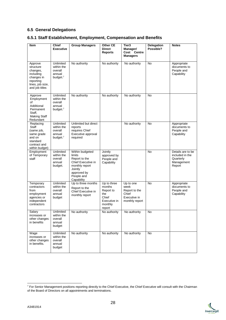# <span id="page-31-0"></span>**6.5 General Delegations**

# <span id="page-31-1"></span>**6.5.1 Staff Establishment, Employment, Compensation and Benefits**

| Item                                                                                                           | <b>Chief</b><br><b>Executive</b>                                     | <b>Group Managers</b>                                                                                                                    | Other CE<br><b>Direct</b><br><b>Reports</b>                                             | Tier3<br>Manager/<br>Cost Centre<br><b>Managers</b>                           | Delegation<br>Possible? | <b>Notes</b>                                                              |
|----------------------------------------------------------------------------------------------------------------|----------------------------------------------------------------------|------------------------------------------------------------------------------------------------------------------------------------------|-----------------------------------------------------------------------------------------|-------------------------------------------------------------------------------|-------------------------|---------------------------------------------------------------------------|
| Approve<br>structure<br>changes,<br>including<br>changes in<br>reporting<br>lines, job size,<br>and job titles | Unlimited<br>within the<br>overall<br>annual<br>budget. <sup>7</sup> | No authority                                                                                                                             | No authority                                                                            | No authority                                                                  | No                      | Appropriate<br>documents to<br>People and<br>Capability                   |
| Approve<br>Employment<br>οf<br>Additional<br>Permanent<br>Staff,<br><b>Making Staff</b><br>Redundant           | Unlimited<br>within the<br>overall<br>annual<br>budget. <sup>7</sup> | No authority                                                                                                                             | No authority                                                                            | No authority                                                                  | No                      |                                                                           |
| Replacing<br>Staff<br>(same job,<br>same grade<br>and on<br>standard<br>contract and<br>within budget)         | Unlimited<br>within the<br>overall<br>annual<br>budget. <sup>7</sup> | Unlimited but direct<br>reports<br>requires Chief<br>Executive approval<br>required                                                      |                                                                                         | No authority                                                                  | No                      | Appropriate<br>documents to<br>People and<br>Capability                   |
| Employment<br>of Temporary<br>staff                                                                            | Unlimited<br>within the<br>overall<br>annual<br>budget.              | Within budgeted<br>limits<br>Report to the<br>Chief Executive in<br>monthly report<br>Jointly<br>approved by<br>People and<br>Capability | Jointly<br>approved by<br>People and<br>Capability                                      |                                                                               | No                      | Details are to be<br>included in the<br>Quarterly<br>Management<br>Report |
| Temporary<br>contractors<br>from<br>employment<br>agencies or<br>independent<br>contractors                    | Unlimited<br>within the<br>overall<br>annual<br>budget               | Up to three months<br>Report to the<br>Chief Executive in<br>monthly report                                                              | Up to three<br>months<br>Report to<br>the<br>Chief<br>Executive in<br>monthly<br>report | Up to one<br>week<br>Report to the<br>Chief<br>Executive in<br>monthly report | No                      | Appropriate<br>documents to<br>People and<br>Capability                   |
| Salary<br>increases or<br>other changes<br>in benefits                                                         | Unlimited<br>within the<br>overall<br>annual<br>budget               | No authority                                                                                                                             | No authority                                                                            | No authority                                                                  | No                      |                                                                           |
| Wage<br>increases or<br>other changes<br>in benefits.                                                          | Unlimited<br>within the<br>overall<br>annual<br>budget               | No authority                                                                                                                             | No authority                                                                            | No authority                                                                  | No                      |                                                                           |

<sup>-</sup><sup>7</sup> For Senior Management positions reporting directly to the Chief Executive, the Chief Executive will consult with the Chairman of the Board of Directors on all appointments and terminations.

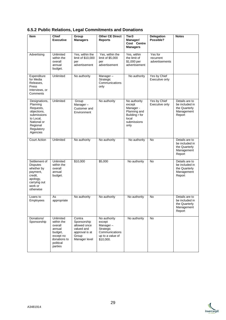# <span id="page-32-0"></span>**6.5.2 Public Relations, Legal Commitments and Donations**

| <b>Item</b>                                                                                                                            | <b>Chief</b><br><b>Executive</b>                                                                             | Group<br><b>Managers</b>                                                                        | <b>Other CE Direct</b><br><b>Reports</b>                                                           | Tier3<br>Manager/<br>Cost Centre<br><b>Managers</b>                                                   | <b>Delegation</b><br>Possible?         | <b>Notes</b>                                                              |
|----------------------------------------------------------------------------------------------------------------------------------------|--------------------------------------------------------------------------------------------------------------|-------------------------------------------------------------------------------------------------|----------------------------------------------------------------------------------------------------|-------------------------------------------------------------------------------------------------------|----------------------------------------|---------------------------------------------------------------------------|
| Advertising                                                                                                                            | Unlimited<br>within the<br>overall<br>annual<br>budget.                                                      | Yes, within the<br>limit of \$10,000<br>per<br>advertisement                                    | Yes, within the<br>limit of \$5,000<br>per<br>advertisement                                        | Yes, within<br>the limit of<br>\$1,000 per<br>advertisement                                           | Yes for<br>recurrent<br>advertisements |                                                                           |
| Expenditure<br>for Media<br>Releases,<br>Press<br>Interviews, or<br>Comments                                                           | Unlimited                                                                                                    | No authority                                                                                    | Manager-<br>Strategic<br>Communications<br>only                                                    | No authority                                                                                          | Yes by Chief<br>Executive only         |                                                                           |
| Designations,<br>Planning<br>Requests,<br>objections,<br>submissions<br>to Local.<br>National or<br>Regional<br>Regulatory<br>Agencies | Unlimited                                                                                                    | Group<br>Manager-<br>Customer and<br>Environment                                                | No authority                                                                                       | No authority<br>except<br>Manager -<br>Planning and<br>Building r for<br>local<br>submissions<br>only | Yes by Chief<br>Executive only         | Details are to<br>be included in<br>the Quarterly<br>Management<br>Report |
| <b>Court Action</b>                                                                                                                    | Unlimited                                                                                                    | No authority                                                                                    | No authority                                                                                       | No authority                                                                                          | <b>No</b>                              | Details are to<br>be included in<br>the Quarterly<br>Management<br>Report |
| Settlement of<br><b>Disputes</b><br>whether by<br>payment,<br>credit,<br>apology,<br>carrying out<br>work or<br>otherwise              | Unlimited<br>within the<br>overall<br>annual<br>budget.                                                      | \$10,000                                                                                        | \$5,000                                                                                            | No authority                                                                                          | <b>No</b>                              | Details are to<br>be included in<br>the Quarterly<br>Management<br>Report |
| Loans to<br>Employees                                                                                                                  | As<br>appropriate                                                                                            | No authority                                                                                    | No authority                                                                                       | No authority                                                                                          | No                                     | Details are to<br>be included in<br>the Quarterly<br>Management<br>Report |
| Donations/<br>Sponsorship                                                                                                              | Unlimited<br>within the<br>overall<br>annual<br>budget,<br>except no<br>donations to<br>political<br>parties | Contra<br>Sponsorship<br>allowed once<br>valued and<br>approval is at<br>Group<br>Manager level | No authority<br>except<br>Manager-<br>Strategic<br>Communications<br>up to a value of<br>\$10,000. | No authority                                                                                          | <b>No</b>                              |                                                                           |